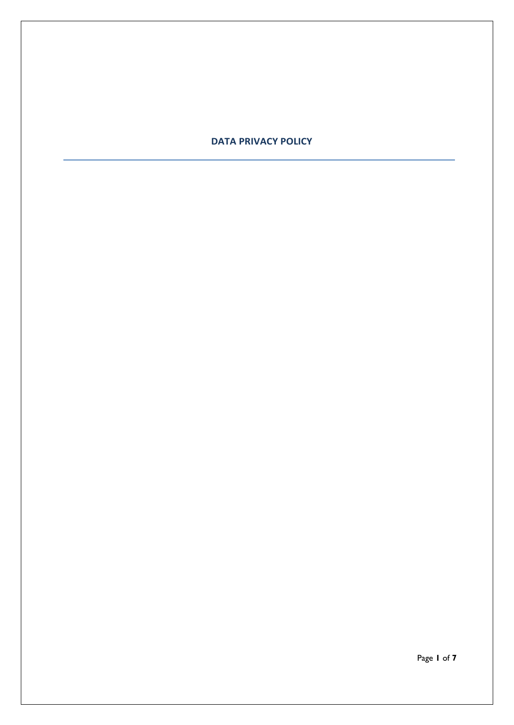### **DATA PRIVACY POLICY**

Page **1** of **7**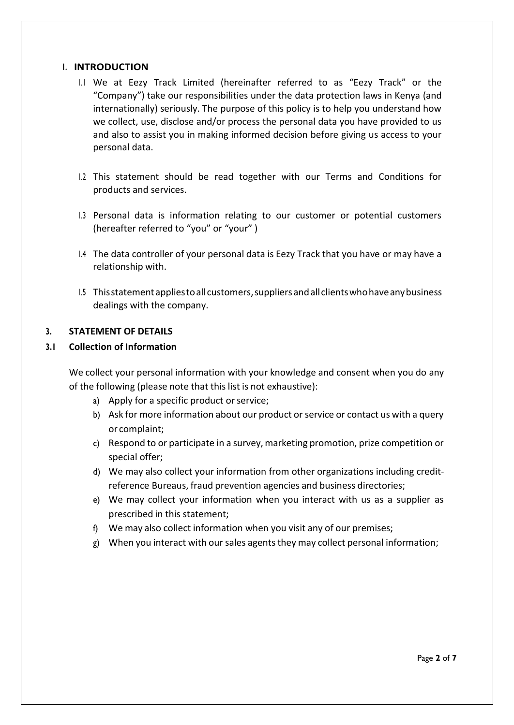#### **1. INTRODUCTION**

- 1.1 We at Eezy Track Limited (hereinafter referred to as "Eezy Track" or the "Company") take our responsibilities under the data protection laws in Kenya (and internationally) seriously. The purpose of this policy is to help you understand how we collect, use, disclose and/or process the personal data you have provided to us and also to assist you in making informed decision before giving us access to your personal data.
- 1.2 This statement should be read together with our Terms and Conditions for products and services.
- 1.3 Personal data is information relating to our customer or potential customers (hereafter referred to "you" or "your" )
- 1.4 The data controller of your personal data is Eezy Track that you have or may have a relationship with.
- 1.5 Thisstatementappliestoallcustomers,suppliersandallclientswhohaveanybusiness dealings with the company.

#### **3. STATEMENT OF DETAILS**

#### **3.1 Collection of Information**

We collect your personal information with your knowledge and consent when you do any of the following (please note that this list is not exhaustive):

- a) Apply for a specific product or service;
- b) Ask for more information about our product or service or contact us with a query or complaint;
- c) Respond to or participate in a survey,marketing promotion, prize competition or special offer;
- d) We may also collect your information from other organizations including creditreference Bureaus, fraud prevention agencies and business directories;
- e) We may collect your information when you interact with us as a supplier as prescribed in this statement;
- f) We may also collect information when you visit any of our premises;
- g) When you interact with our sales agents they may collect personal information;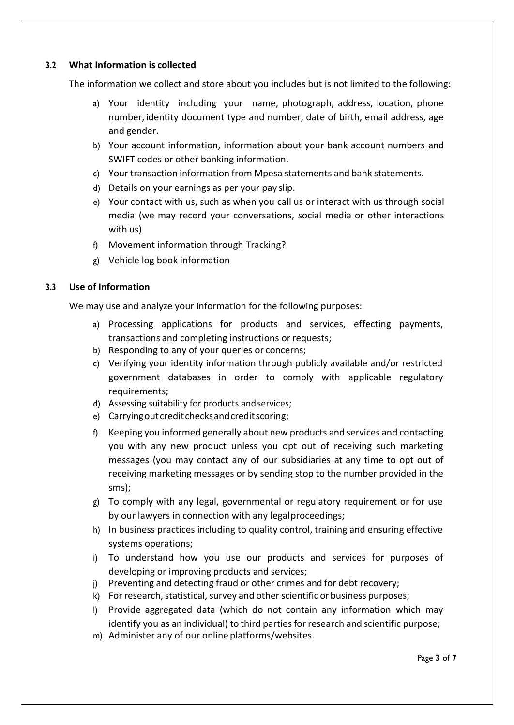### **3.2 What Information is collected**

The information we collect and store about you includes but is not limited to the following:

- a) Your identity including your name, photograph, address, location, phone number, identity document type and number, date of birth, email address, age and gender.
- b) Your account information, information about your bank account numbers and SWIFT codes or other banking information.
- c) Your transaction information from Mpesa statements and bank statements.
- d) Details on your earnings as per your pay slip.
- e) Your contact with us, such as when you call us or interact with us through social media (we may record your conversations, social media or other interactions with us)
- f) Movement information through Tracking?
- g) Vehicle log book information

# **3.3 Use of Information**

We may use and analyze your information for the following purposes:

- a) Processing applications for products and services, effecting payments, transactions and completing instructions or requests;
- b) Responding to any of your queries or concerns;
- c) Verifying your identity information through publicly available and/or restricted government databases in order to comply with applicable regulatory requirements;
- d) Assessing suitability for products andservices;
- e) Carryingoutcreditchecksandcreditscoring;
- f) Keeping you informed generally about new products and services and contacting you with any new product unless you opt out of receiving such marketing messages (you may contact any of our subsidiaries at any time to opt out of receiving marketing messages or by sending stop to the number provided in the sms);
- g) To comply with any legal, governmental or regulatory requirement or for use by our lawyers in connection with any legalproceedings;
- h) In business practices including to quality control, training and ensuring effective systems operations;
- i) To understand how you use our products and services for purposes of developing or improving products and services;
- j) Preventing and detecting fraud or other crimes and for debt recovery;
- k) For research, statistical, survey and other scientific or business purposes;
- l) Provide aggregated data (which do not contain any information which may identify you as an individual) to third parties for research and scientific purpose;
- m) Administer any of our online platforms/websites.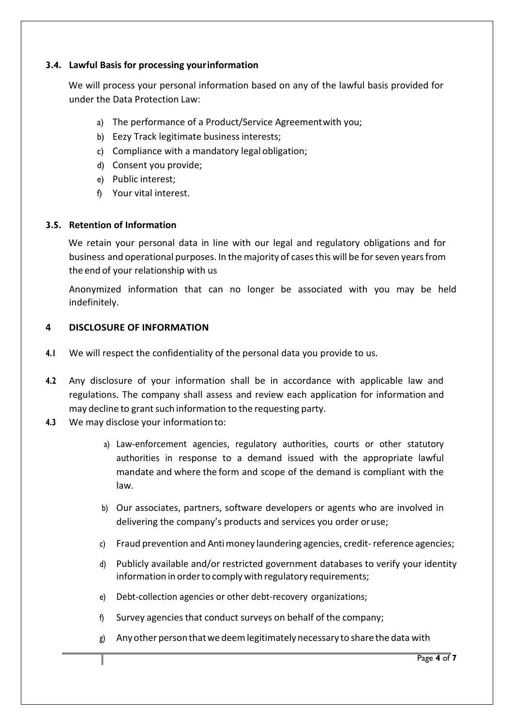### **3.4. Lawful Basis for processing yourinformation**

We will process your personal information based on any of the lawful basis provided for under the Data Protection Law:

- a) The performance of a Product/Service Agreementwith you;
- b) Eezy Track legitimate business interests;
- c) Compliance with a mandatory legal obligation;
- d) Consent you provide;
- e) Public interest;
- f) Your vital interest.

#### **3.5. Retention of Information**

We retain your personal data in line with our legal and regulatory obligations and for business and operational purposes. In the majority of casesthis will be forseven yearsfrom the end of your relationship with us

Anonymized information that can no longer be associated with you may be held indefinitely.

#### **4 DISCLOSURE OF INFORMATION**

- **4.1** We will respect the confidentiality of the personal data you provide to us.
- **4.2** Any disclosure of your information shall be in accordance with applicable law and regulations. The company shall assess and review each application for information and may decline to grant such information to the requesting party.
- **4.3** We may disclose your information to:
	- a) Law-enforcement agencies, regulatory authorities, courts or other statutory authorities in response to a demand issued with the appropriate lawful mandate and where the form and scope of the demand is compliant with the law.
	- b) Our associates, partners, software developers or agents who are involved in delivering the company's products and services you order oruse;
	- c) Fraud prevention and Antimoney laundering agencies, credit-reference agencies;
	- d) Publicly available and/or restricted government databases to verify your identity information in order to comply with regulatory requirements;
	- e) Debt-collection agencies or other debt-recovery organizations;
	- f) Survey agencies that conduct surveys on behalf of the company;
	- g) Anyother personthatwe deemlegitimately necessary to share the data with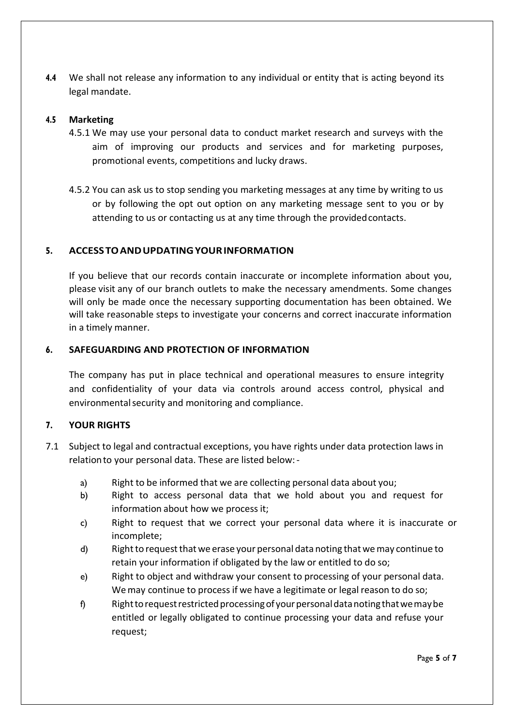**4.4** We shall not release any information to any individual or entity that is acting beyond its legal mandate.

#### **4.5 Marketing**

- 4.5.1 We may use your personal data to conduct market research and surveys with the aim of improving our products and services and for marketing purposes, promotional events, competitions and lucky draws.
- 4.5.2 You can ask us to stop sending you marketing messages at any time by writing to us or by following the opt out option on any marketing message sent to you or by attending to us or contacting us at any time through the providedcontacts.

#### **5. ACCESSTOANDUPDATINGYOURINFORMATION**

If you believe that our records contain inaccurate or incomplete information about you, please visit any of our branch outlets to make the necessary amendments. Some changes will only be made once the necessary supporting documentation has been obtained. We will take reasonable steps to investigate your concerns and correct inaccurate information in a timely manner.

#### **6. SAFEGUARDING AND PROTECTION OF INFORMATION**

The company has put in place technical and operational measures to ensure integrity and confidentiality of your data via controls around access control, physical and environmentalsecurity and monitoring and compliance.

#### **7. YOUR RIGHTS**

- 7.1 Subject to legal and contractual exceptions, you have rights under data protection laws in relationto your personal data. These are listed below:
	- a) Right to be informed that we are collecting personal data about you;
	- b) Right to access personal data that we hold about you and request for information about how we process it;
	- c) Right to request that we correct your personal data where it is inaccurate or incomplete;
	- d) Rightto requestthat we erase your personal data noting that wemay continue to retain your information if obligated by the law or entitled to do so;
	- e) Right to object and withdraw your consent to processing of your personal data. Wemay continue to process if we have a legitimate or legal reason to do so;
	- f) Righttorequestrestrictedprocessingof yourpersonaldatanotingthatwemaybe entitled or legally obligated to continue processing your data and refuse your request;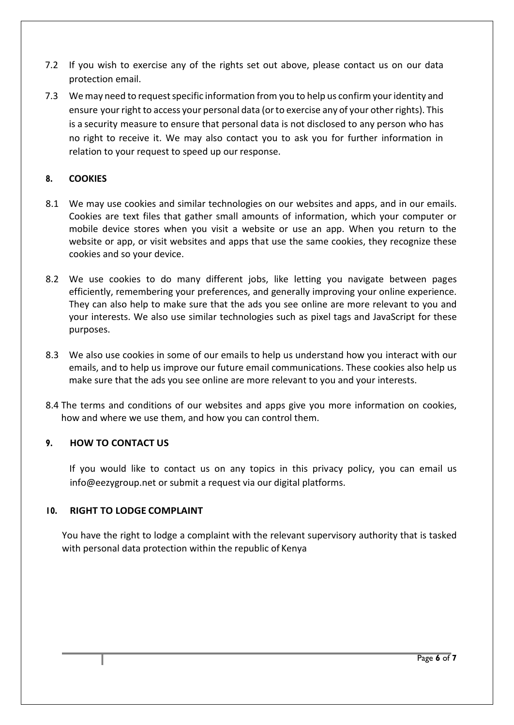- 7.2 If you wish to exercise any of the rights set out above, please contact us on our data protection email.
- 7.3 We may need to request specific information from you to help us confirm your identity and ensure your right to access your personal data (or to exercise any of your other rights). This is a security measure to ensure that personal data is not disclosed to any person who has no right to receive it. We may also contact you to ask you for further information in relation to your request to speed up our response.

# **8. COOKIES**

- 8.1 We may use cookies and similar technologies on our websites and apps, and in our emails. Cookies are text files that gather small amounts of information, which your computer or mobile device stores when you visit a website or use an app. When you return to the website or app, or visit websites and apps that use the same cookies, they recognize these cookies and so your device.
- 8.2 We use cookies to do many different jobs, like letting you navigate between pages efficiently, remembering your preferences, and generally improving your online experience. They can also help to make sure that the ads you see online are more relevant to you and your interests. We also use similar technologies such as pixel tags and JavaScript for these purposes.
- 8.3 We also use cookies in some of our emails to help us understand how you interact with our emails, and to help us improve our future email communications. These cookies also help us make sure that the ads you see online are more relevant to you and your interests.
- 8.4 The terms and conditions of our websites and apps give you more information on cookies, how and where we use them, and how you can control them.

# **9. HOW TO CONTACT US**

If you would like to contact us on any topics in this privacy policy, you can email us info@eezygroup.net or submit a request via our digital platforms.

# **10. RIGHT TO LODGE COMPLAINT**

You have the right to lodge a complaint with the relevant supervisory authority that is tasked with personal data protection within the republic of Kenya